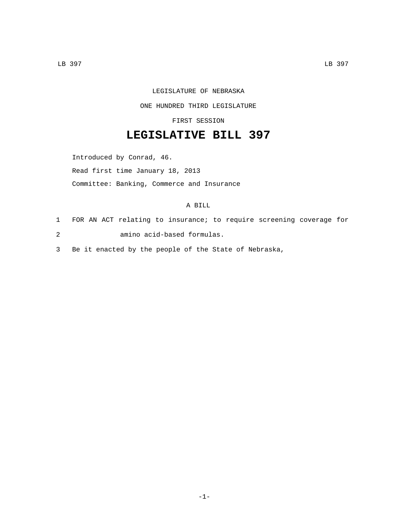## LEGISLATURE OF NEBRASKA

## ONE HUNDRED THIRD LEGISLATURE

FIRST SESSION

## **LEGISLATIVE BILL 397**

Introduced by Conrad, 46. Read first time January 18, 2013 Committee: Banking, Commerce and Insurance

## A BILL

- 1 FOR AN ACT relating to insurance; to require screening coverage for amino acid-based formulas.2
- 3 Be it enacted by the people of the State of Nebraska,